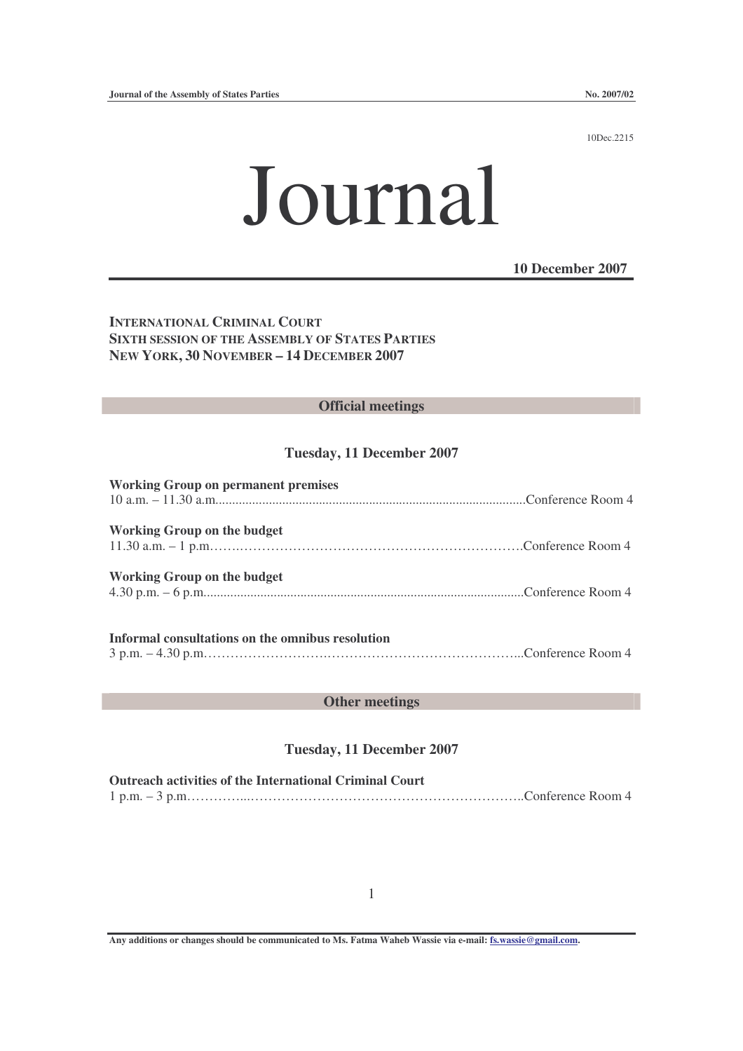10Dec.2215

# Journal

#### **10 December 2007**

**INTERNATIONAL CRIMINAL COURT SIXTH SESSION OF THE ASSEMBLY OF STATES PARTIES NEW YORK, 30 NOVEMBER – 14 DECEMBER 2007**

#### **Official meetings**

#### **Tuesday, 11 December 2007**

| <b>Working Group on permanent premises</b> |  |
|--------------------------------------------|--|
|                                            |  |
|                                            |  |
| <b>Working Group on the budget</b>         |  |
|                                            |  |
| <b>Working Group on the budget</b>         |  |
|                                            |  |
|                                            |  |
|                                            |  |

# **Informal consultations on the omnibus resolution**

3 p.m. – 4.30 p.m……………………….……………………………………...Conference Room 4

#### **Other meetings**

#### **Tuesday, 11 December 2007**

**Outreach activities of the International Criminal Court** 1 p.m. – 3 p.m…………...……………………………………………………..Conference Room 4

**Any additions or changes should be communicated to Ms. Fatma Waheb Wassie via e-mail: fs.wassie@gmail.com.**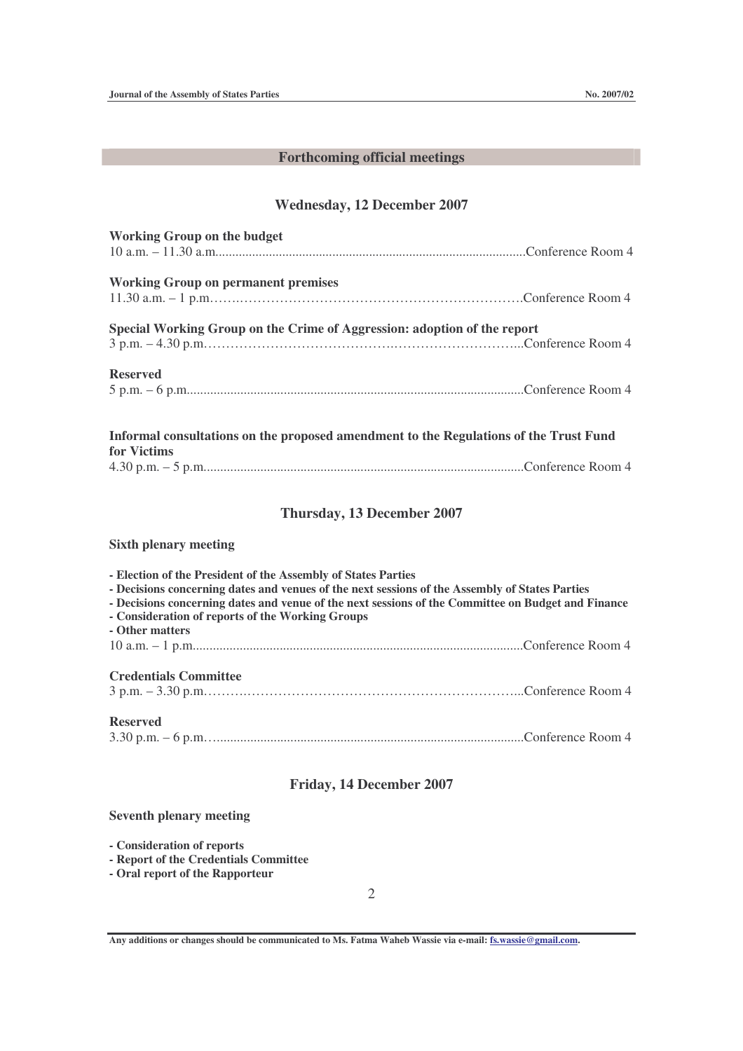## **Forthcoming official meetings**

### **Wednesday, 12 December 2007**

| <b>Working Group on the budget</b>                                                                                                                                                                                                                                                                                                           |  |  |
|----------------------------------------------------------------------------------------------------------------------------------------------------------------------------------------------------------------------------------------------------------------------------------------------------------------------------------------------|--|--|
|                                                                                                                                                                                                                                                                                                                                              |  |  |
| <b>Working Group on permanent premises</b>                                                                                                                                                                                                                                                                                                   |  |  |
| Special Working Group on the Crime of Aggression: adoption of the report                                                                                                                                                                                                                                                                     |  |  |
| <b>Reserved</b>                                                                                                                                                                                                                                                                                                                              |  |  |
| Informal consultations on the proposed amendment to the Regulations of the Trust Fund<br>for Victims                                                                                                                                                                                                                                         |  |  |
|                                                                                                                                                                                                                                                                                                                                              |  |  |
| Thursday, 13 December 2007                                                                                                                                                                                                                                                                                                                   |  |  |
| <b>Sixth plenary meeting</b>                                                                                                                                                                                                                                                                                                                 |  |  |
| - Election of the President of the Assembly of States Parties<br>- Decisions concerning dates and venues of the next sessions of the Assembly of States Parties<br>- Decisions concerning dates and venue of the next sessions of the Committee on Budget and Finance<br>- Consideration of reports of the Working Groups<br>- Other matters |  |  |
| <b>Credentials Committee</b>                                                                                                                                                                                                                                                                                                                 |  |  |
| <b>Reserved</b>                                                                                                                                                                                                                                                                                                                              |  |  |
| Friday, 14 December 2007                                                                                                                                                                                                                                                                                                                     |  |  |
| <b>Seventh plenary meeting</b>                                                                                                                                                                                                                                                                                                               |  |  |

**- Consideration of reports**

**- Report of the Credentials Committee**

**- Oral report of the Rapporteur**

2

**Any additions or changes should be communicated to Ms. Fatma Waheb Wassie via e-mail: fs.wassie@gmail.com.**